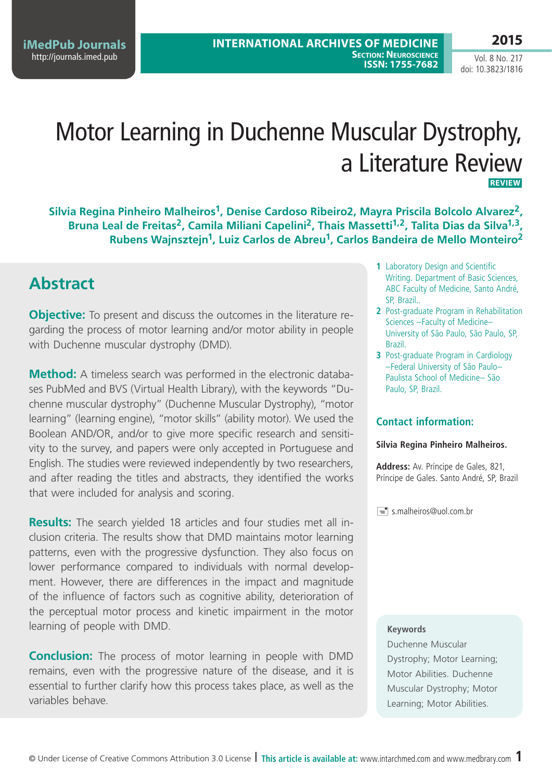**iMedPub Journals** <http://journals.imed.pub>

Vol. 8 No. 217 doi: 10.3823/1816

# Motor Learning in Duchenne Muscular Dystrophy, a Literature Review **Review**

**Silvia Regina Pinheiro Malheiros1, Denise Cardoso Ribeiro2, Mayra Priscila Bolcolo Alvarez2,**  Bruna Leal de Freitas<sup>2</sup>, Camila Miliani Capelini<sup>2</sup>, Thais Massetti<sup>1,2</sup>, Talita Dias da Silva<sup>1,3</sup>, **Rubens Wajnsztejn1, Luiz Carlos de Abreu1, Carlos Bandeira de Mello Monteiro2**

## **Abstract**

**Objective:** To present and discuss the outcomes in the literature regarding the process of motor learning and/or motor ability in people with Duchenne muscular dystrophy (DMD).

**Method:** A timeless search was performed in the electronic databases PubMed and BVS (Virtual Health Library), with the keywords "Duchenne muscular dystrophy" (Duchenne Muscular Dystrophy), "motor learning" (learning engine), "motor skills" (ability motor). We used the Boolean AND/OR, and/or to give more specific research and sensitivity to the survey, and papers were only accepted in Portuguese and English. The studies were reviewed independently by two researchers, and after reading the titles and abstracts, they identified the works that were included for analysis and scoring.

**Results:** The search yielded 18 articles and four studies met all inclusion criteria. The results show that DMD maintains motor learning patterns, even with the progressive dysfunction. They also focus on lower performance compared to individuals with normal development. However, there are differences in the impact and magnitude of the influence of factors such as cognitive ability, deterioration of the perceptual motor process and kinetic impairment in the motor learning of people with DMD.

**Conclusion:** The process of motor learning in people with DMD remains, even with the progressive nature of the disease, and it is essential to further clarify how this process takes place, as well as the variables behave.

- **1** Laboratory Design and Scientific Writing. Department of Basic Sciences, ABC Faculty of Medicine, Santo André, SP, Brazil..
- **2** Post-graduate Program in Rehabilitation Sciences –Faculty of Medicine– University of São Paulo, São Paulo, SP, Brazil.
- **3** Post-graduate Program in Cardiology –Federal University of São Paulo– Paulista School of Medicine– São Paulo, SP, Brazil.

### **Contact information:**

#### **Silvia Regina Pinheiro Malheiros.**

**Address:** Av. Príncipe de Gales, 821, Príncipe de Gales. Santo André, SP, Brazil

s.malheiros@uol.com.br

### **Keywords**

Duchenne Muscular Dystrophy; Motor Learning; Motor Abilities. Duchenne Muscular Dystrophy; Motor Learning; Motor Abilities.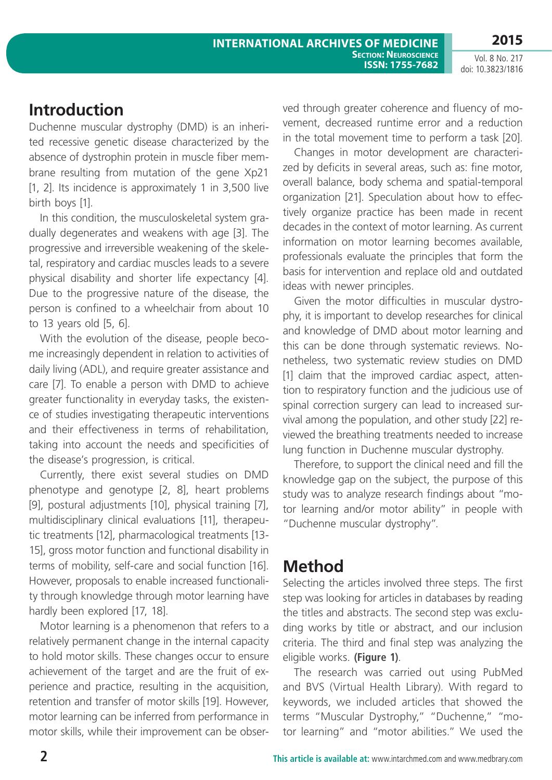# **Introduction**

Duchenne muscular dystrophy (DMD) is an inherited recessive genetic disease characterized by the absence of dystrophin protein in muscle fiber membrane resulting from mutation of the gene Xp21 [1, 2]. Its incidence is approximately 1 in 3,500 live birth boys [1].

In this condition, the musculoskeletal system gradually degenerates and weakens with age [3]. The progressive and irreversible weakening of the skeletal, respiratory and cardiac muscles leads to a severe physical disability and shorter life expectancy [4]. Due to the progressive nature of the disease, the person is confined to a wheelchair from about 10 to 13 years old [5, 6].

With the evolution of the disease, people become increasingly dependent in relation to activities of daily living (ADL), and require greater assistance and care [7]. To enable a person with DMD to achieve greater functionality in everyday tasks, the existence of studies investigating therapeutic interventions and their effectiveness in terms of rehabilitation, taking into account the needs and specificities of the disease's progression, is critical.

Currently, there exist several studies on DMD phenotype and genotype [2, 8], heart problems [9], postural adjustments [10], physical training [7], multidisciplinary clinical evaluations [11], therapeutic treatments [12], pharmacological treatments [13- 15], gross motor function and functional disability in terms of mobility, self-care and social function [16]. However, proposals to enable increased functionality through knowledge through motor learning have hardly been explored [17, 18].

Motor learning is a phenomenon that refers to a relatively permanent change in the internal capacity to hold motor skills. These changes occur to ensure achievement of the target and are the fruit of experience and practice, resulting in the acquisition, retention and transfer of motor skills [19]. However, motor learning can be inferred from performance in motor skills, while their improvement can be observed through greater coherence and fluency of movement, decreased runtime error and a reduction in the total movement time to perform a task [20].

Changes in motor development are characterized by deficits in several areas, such as: fine motor, overall balance, body schema and spatial-temporal organization [21]. Speculation about how to effectively organize practice has been made in recent decades in the context of motor learning. As current information on motor learning becomes available, professionals evaluate the principles that form the basis for intervention and replace old and outdated ideas with newer principles.

Given the motor difficulties in muscular dystrophy, it is important to develop researches for clinical and knowledge of DMD about motor learning and this can be done through systematic reviews. Nonetheless, two systematic review studies on DMD [1] claim that the improved cardiac aspect, attention to respiratory function and the judicious use of spinal correction surgery can lead to increased survival among the population, and other study [22] reviewed the breathing treatments needed to increase lung function in Duchenne muscular dystrophy.

Therefore, to support the clinical need and fill the knowledge gap on the subject, the purpose of this study was to analyze research findings about "motor learning and/or motor ability" in people with "Duchenne muscular dystrophy".

# **Method**

Selecting the articles involved three steps. The first step was looking for articles in databases by reading the titles and abstracts. The second step was excluding works by title or abstract, and our inclusion criteria. The third and final step was analyzing the eligible works. **(Figure 1)**.

The research was carried out using PubMed and BVS (Virtual Health Library). With regard to keywords, we included articles that showed the terms "Muscular Dystrophy," "Duchenne," "motor learning" and "motor abilities." We used the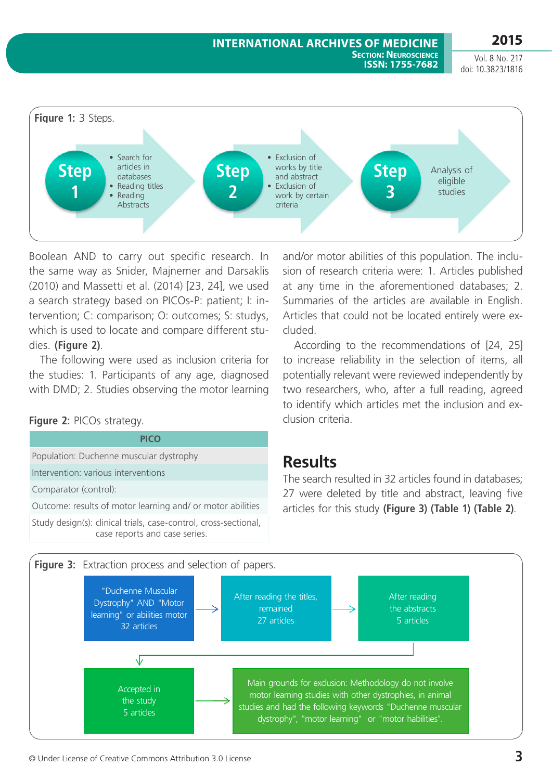#### **International Archives of Medicine Section: Neuroscience ISSN: 1755-7682**

**2015** Vol. 8 No. 217

doi: 10.3823/1816



Boolean AND to carry out specific research. In the same way as Snider, Majnemer and Darsaklis (2010) and Massetti et al. (2014) [23, 24], we used a search strategy based on PICOs-P: patient; I: intervention; C: comparison; O: outcomes; S: studys, which is used to locate and compare different studies. **(Figure 2)**.

The following were used as inclusion criteria for the studies: 1. Participants of any age, diagnosed with DMD; 2. Studies observing the motor learning

### **Figure 2:** PICOs strategy.

**PICO**

Population: Duchenne muscular dystrophy Intervention: various interventions

Comparator (control):

Outcome: results of motor learning and/ or motor abilities

Study design(s): clinical trials, case-control, cross-sectional, case reports and case series.

and/or motor abilities of this population. The inclusion of research criteria were: 1. Articles published at any time in the aforementioned databases; 2. Summaries of the articles are available in English. Articles that could not be located entirely were excluded.

According to the recommendations of [24, 25] to increase reliability in the selection of items, all potentially relevant were reviewed independently by two researchers, who, after a full reading, agreed to identify which articles met the inclusion and exclusion criteria.

## **Results**

The search resulted in 32 articles found in databases; 27 were deleted by title and abstract, leaving five articles for this study **(Figure 3) (Table 1) (Table 2)**.

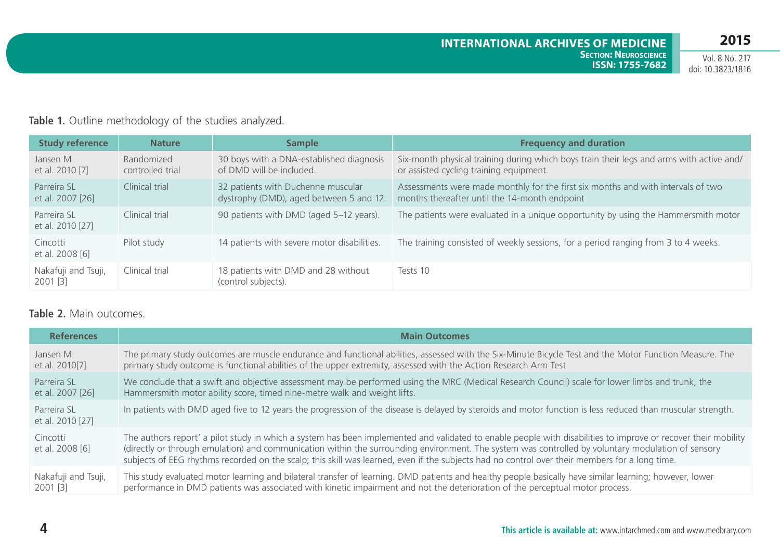### **Table 1.** Outline methodology of the studies analyzed.

| <b>Study reference</b>            | <b>Nature</b>                  | <b>Sample</b>                                                                 | <b>Frequency and duration</b>                                                                                                       |
|-----------------------------------|--------------------------------|-------------------------------------------------------------------------------|-------------------------------------------------------------------------------------------------------------------------------------|
| Jansen M<br>et al. 2010 [7]       | Randomized<br>controlled trial | 30 boys with a DNA-established diagnosis<br>of DMD will be included.          | Six-month physical training during which boys train their legs and arms with active and/<br>or assisted cycling training equipment. |
| Parreira SL<br>et al. 2007 [26]   | Clinical trial                 | 32 patients with Duchenne muscular<br>dystrophy (DMD), aged between 5 and 12. | Assessments were made monthly for the first six months and with intervals of two<br>months thereafter until the 14-month endpoint   |
| Parreira SL<br>et al. 2010 [27]   | Clinical trial                 | 90 patients with DMD (aged 5-12 years).                                       | The patients were evaluated in a unique opportunity by using the Hammersmith motor                                                  |
| Cincotti<br>et al. 2008 [6]       | Pilot study                    | 14 patients with severe motor disabilities.                                   | The training consisted of weekly sessions, for a period ranging from 3 to 4 weeks.                                                  |
| Nakafuji and Tsuji,<br>$2001$ [3] | Clinical trial                 | 18 patients with DMD and 28 without<br>(control subjects).                    | Tests 10                                                                                                                            |

### **Table 2.** Main outcomes.

| <b>References</b>               | <b>Main Outcomes</b>                                                                                                                                                                                                                                                                                                                                                                                                                                                   |  |
|---------------------------------|------------------------------------------------------------------------------------------------------------------------------------------------------------------------------------------------------------------------------------------------------------------------------------------------------------------------------------------------------------------------------------------------------------------------------------------------------------------------|--|
| Jansen M                        | The primary study outcomes are muscle endurance and functional abilities, assessed with the Six-Minute Bicycle Test and the Motor Function Measure. The                                                                                                                                                                                                                                                                                                                |  |
| et al. 2010[7]                  | primary study outcome is functional abilities of the upper extremity, assessed with the Action Research Arm Test                                                                                                                                                                                                                                                                                                                                                       |  |
| Parreira SL                     | We conclude that a swift and objective assessment may be performed using the MRC (Medical Research Council) scale for lower limbs and trunk, the                                                                                                                                                                                                                                                                                                                       |  |
| et al. 2007 [26]                | Hammersmith motor ability score, timed nine-metre walk and weight lifts.                                                                                                                                                                                                                                                                                                                                                                                               |  |
| Parreira SL<br>et al. 2010 [27] | In patients with DMD aged five to 12 years the progression of the disease is delayed by steroids and motor function is less reduced than muscular strength.                                                                                                                                                                                                                                                                                                            |  |
| Cincotti<br>et al. 2008 [6]     | The authors report' a pilot study in which a system has been implemented and validated to enable people with disabilities to improve or recover their mobility<br>(directly or through emulation) and communication within the surrounding environment. The system was controlled by voluntary modulation of sensory<br>subjects of EEG rhythms recorded on the scalp; this skill was learned, even if the subjects had no control over their members for a long time. |  |
| Nakafuji and Tsuji,             | This study evaluated motor learning and bilateral transfer of learning. DMD patients and healthy people basically have similar learning; however, lower                                                                                                                                                                                                                                                                                                                |  |
| $2001$ [3]                      | performance in DMD patients was associated with kinetic impairment and not the deterioration of the perceptual motor process.                                                                                                                                                                                                                                                                                                                                          |  |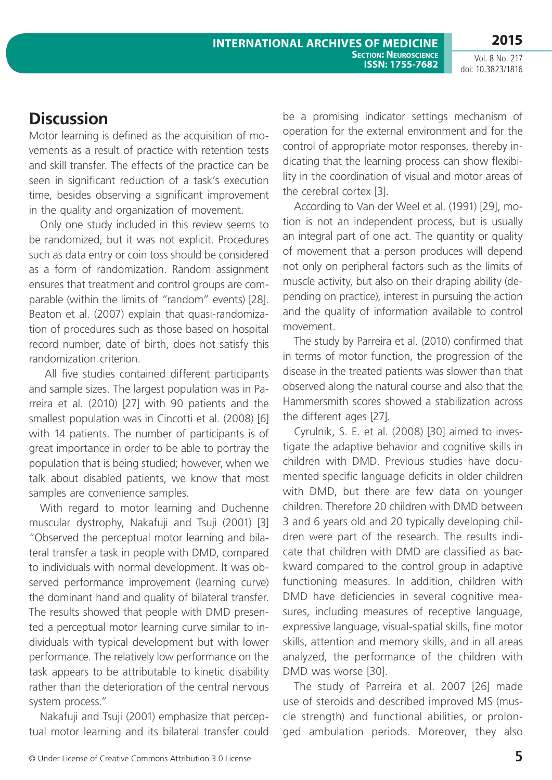## **Discussion**

Motor learning is defined as the acquisition of movements as a result of practice with retention tests and skill transfer. The effects of the practice can be seen in significant reduction of a task's execution time, besides observing a significant improvement in the quality and organization of movement.

Only one study included in this review seems to be randomized, but it was not explicit. Procedures such as data entry or coin toss should be considered as a form of randomization. Random assignment ensures that treatment and control groups are comparable (within the limits of "random" events) [28]. Beaton et al. (2007) explain that quasi-randomization of procedures such as those based on hospital record number, date of birth, does not satisfy this randomization criterion.

 All five studies contained different participants and sample sizes. The largest population was in Parreira et al. (2010) [27] with 90 patients and the smallest population was in Cincotti et al. (2008) [6] with 14 patients. The number of participants is of great importance in order to be able to portray the population that is being studied; however, when we talk about disabled patients, we know that most samples are convenience samples.

With regard to motor learning and Duchenne muscular dystrophy, Nakafuji and Tsuji (2001) [3] "Observed the perceptual motor learning and bilateral transfer a task in people with DMD, compared to individuals with normal development. It was observed performance improvement (learning curve) the dominant hand and quality of bilateral transfer. The results showed that people with DMD presented a perceptual motor learning curve similar to individuals with typical development but with lower performance. The relatively low performance on the task appears to be attributable to kinetic disability rather than the deterioration of the central nervous system process."

Nakafuji and Tsuji (2001) emphasize that perceptual motor learning and its bilateral transfer could be a promising indicator settings mechanism of operation for the external environment and for the control of appropriate motor responses, thereby indicating that the learning process can show flexibility in the coordination of visual and motor areas of the cerebral cortex [3].

According to Van der Weel et al. (1991) [29], motion is not an independent process, but is usually an integral part of one act. The quantity or quality of movement that a person produces will depend not only on peripheral factors such as the limits of muscle activity, but also on their draping ability (depending on practice), interest in pursuing the action and the quality of information available to control movement.

The study by Parreira et al. (2010) confirmed that in terms of motor function, the progression of the disease in the treated patients was slower than that observed along the natural course and also that the Hammersmith scores showed a stabilization across the different ages [27].

Cyrulnik, S. E. et al. (2008) [30] aimed to investigate the adaptive behavior and cognitive skills in children with DMD. Previous studies have documented specific language deficits in older children with DMD, but there are few data on younger children. Therefore 20 children with DMD between 3 and 6 years old and 20 typically developing children were part of the research. The results indicate that children with DMD are classified as backward compared to the control group in adaptive functioning measures. In addition, children with DMD have deficiencies in several cognitive measures, including measures of receptive language, expressive language, visual-spatial skills, fine motor skills, attention and memory skills, and in all areas analyzed, the performance of the children with DMD was worse [30].

The study of Parreira et al. 2007 [26] made use of steroids and described improved MS (muscle strength) and functional abilities, or prolonged ambulation periods. Moreover, they also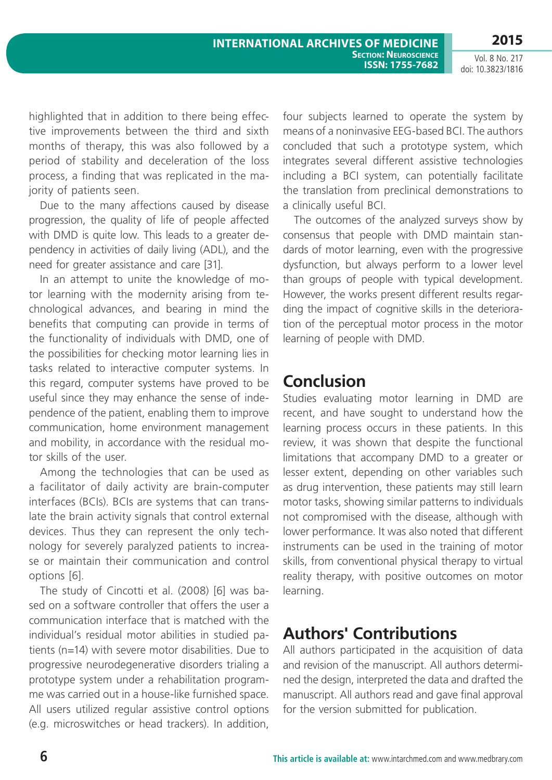**2015**

Vol. 8 No. 217 doi: 10.3823/1816

highlighted that in addition to there being effective improvements between the third and sixth months of therapy, this was also followed by a period of stability and deceleration of the loss process, a finding that was replicated in the majority of patients seen.

Due to the many affections caused by disease progression, the quality of life of people affected with DMD is quite low. This leads to a greater dependency in activities of daily living (ADL), and the need for greater assistance and care [31].

In an attempt to unite the knowledge of motor learning with the modernity arising from technological advances, and bearing in mind the benefits that computing can provide in terms of the functionality of individuals with DMD, one of the possibilities for checking motor learning lies in tasks related to interactive computer systems. In this regard, computer systems have proved to be useful since they may enhance the sense of independence of the patient, enabling them to improve communication, home environment management and mobility, in accordance with the residual motor skills of the user.

Among the technologies that can be used as a facilitator of daily activity are brain-computer interfaces (BCIs). BCIs are systems that can translate the brain activity signals that control external devices. Thus they can represent the only technology for severely paralyzed patients to increase or maintain their communication and control options [6].

The study of Cincotti et al. (2008) [6] was based on a software controller that offers the user a communication interface that is matched with the individual's residual motor abilities in studied patients (n=14) with severe motor disabilities. Due to progressive neurodegenerative disorders trialing a prototype system under a rehabilitation programme was carried out in a house-like furnished space. All users utilized regular assistive control options (e.g. microswitches or head trackers). In addition,

four subjects learned to operate the system by means of a noninvasive EEG-based BCI. The authors concluded that such a prototype system, which integrates several different assistive technologies including a BCI system, can potentially facilitate the translation from preclinical demonstrations to a clinically useful BCI.

The outcomes of the analyzed surveys show by consensus that people with DMD maintain standards of motor learning, even with the progressive dysfunction, but always perform to a lower level than groups of people with typical development. However, the works present different results regarding the impact of cognitive skills in the deterioration of the perceptual motor process in the motor learning of people with DMD.

## **Conclusion**

Studies evaluating motor learning in DMD are recent, and have sought to understand how the learning process occurs in these patients. In this review, it was shown that despite the functional limitations that accompany DMD to a greater or lesser extent, depending on other variables such as drug intervention, these patients may still learn motor tasks, showing similar patterns to individuals not compromised with the disease, although with lower performance. It was also noted that different instruments can be used in the training of motor skills, from conventional physical therapy to virtual reality therapy, with positive outcomes on motor learning.

# **Authors' Contributions**

All authors participated in the acquisition of data and revision of the manuscript. All authors determined the design, interpreted the data and drafted the manuscript. All authors read and gave final approval for the version submitted for publication.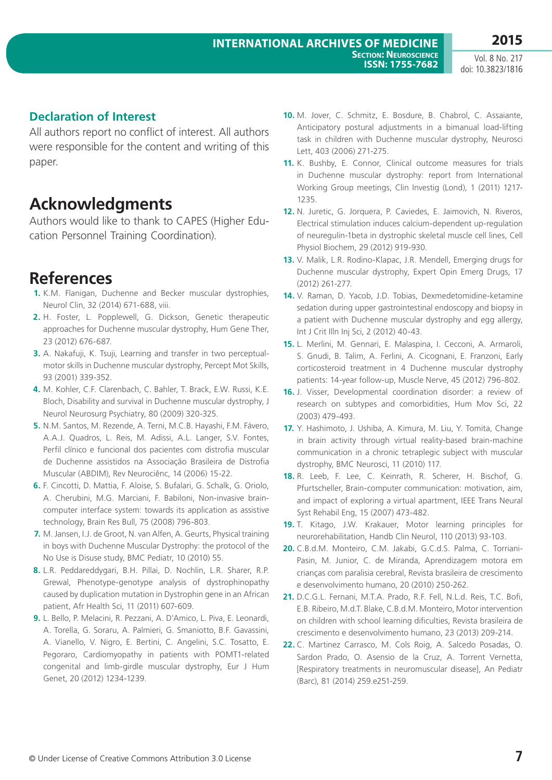### **Declaration of Interest**

All authors report no conflict of interest. All authors were responsible for the content and writing of this paper.

## **Acknowledgments**

Authors would like to thank to CAPES (Higher Education Personnel Training Coordination).

## **References**

- **1.** K.M. Flanigan, Duchenne and Becker muscular dystrophies, Neurol Clin, 32 (2014) 671-688, viii.
- **2.** H. Foster, L. Popplewell, G. Dickson, Genetic therapeutic approaches for Duchenne muscular dystrophy, Hum Gene Ther, 23 (2012) 676-687.
- **3.** A. Nakafuji, K. Tsuji, Learning and transfer in two perceptualmotor skills in Duchenne muscular dystrophy, Percept Mot Skills, 93 (2001) 339-352.
- **4.** M. Kohler, C.F. Clarenbach, C. Bahler, T. Brack, E.W. Russi, K.E. Bloch, Disability and survival in Duchenne muscular dystrophy, J Neurol Neurosurg Psychiatry, 80 (2009) 320-325.
- **5.** N.M. Santos, M. Rezende, A. Terni, M.C.B. Hayashi, F.M. Fávero, A.A.J. Quadros, L. Reis, M. Adissi, A.L. Langer, S.V. Fontes, Perfil clínico e funcional dos pacientes com distrofia muscular de Duchenne assistidos na Associação Brasileira de Distrofia Muscular (ABDIM), Rev Neurociênc, 14 (2006) 15-22.
- **6.** F. Cincotti, D. Mattia, F. Aloise, S. Bufalari, G. Schalk, G. Oriolo, A. Cherubini, M.G. Marciani, F. Babiloni, Non-invasive braincomputer interface system: towards its application as assistive technology, Brain Res Bull, 75 (2008) 796-803.
- **7.** M. Jansen, I.J. de Groot, N. van Alfen, A. Geurts, Physical training in boys with Duchenne Muscular Dystrophy: the protocol of the No Use is Disuse study, BMC Pediatr, 10 (2010) 55.
- **8.** L.R. Peddareddygari, B.H. Pillai, D. Nochlin, L.R. Sharer, R.P. Grewal, Phenotype-genotype analysis of dystrophinopathy caused by duplication mutation in Dystrophin gene in an African patient, Afr Health Sci, 11 (2011) 607-609.
- **9.** L. Bello, P. Melacini, R. Pezzani, A. D'Amico, L. Piva, E. Leonardi, A. Torella, G. Soraru, A. Palmieri, G. Smaniotto, B.F. Gavassini, A. Vianello, V. Nigro, E. Bertini, C. Angelini, S.C. Tosatto, E. Pegoraro, Cardiomyopathy in patients with POMT1-related congenital and limb-girdle muscular dystrophy, Eur J Hum Genet, 20 (2012) 1234-1239.
- **10.** M. Jover, C. Schmitz, E. Bosdure, B. Chabrol, C. Assaiante, Anticipatory postural adjustments in a bimanual load-lifting task in children with Duchenne muscular dystrophy, Neurosci Lett, 403 (2006) 271-275.
- **11.** K. Bushby, E. Connor, Clinical outcome measures for trials in Duchenne muscular dystrophy: report from International Working Group meetings, Clin Investig (Lond), 1 (2011) 1217- 1235.
- **12.** N. Juretic, G. Jorquera, P. Caviedes, E. Jaimovich, N. Riveros, Electrical stimulation induces calcium-dependent up-regulation of neuregulin-1beta in dystrophic skeletal muscle cell lines, Cell Physiol Biochem, 29 (2012) 919-930.
- **13.** V. Malik, L.R. Rodino-Klapac, J.R. Mendell, Emerging drugs for Duchenne muscular dystrophy, Expert Opin Emerg Drugs, 17 (2012) 261-277.
- **14.** V. Raman, D. Yacob, J.D. Tobias, Dexmedetomidine-ketamine sedation during upper gastrointestinal endoscopy and biopsy in a patient with Duchenne muscular dystrophy and egg allergy, Int J Crit Illn Inj Sci, 2 (2012) 40-43.
- **15.** L. Merlini, M. Gennari, E. Malaspina, I. Cecconi, A. Armaroli, S. Gnudi, B. Talim, A. Ferlini, A. Cicognani, E. Franzoni, Early corticosteroid treatment in 4 Duchenne muscular dystrophy patients: 14-year follow-up, Muscle Nerve, 45 (2012) 796-802.
- **16.** J. Visser, Developmental coordination disorder: a review of research on subtypes and comorbidities, Hum Mov Sci, 22 (2003) 479-493.
- **17.** Y. Hashimoto, J. Ushiba, A. Kimura, M. Liu, Y. Tomita, Change in brain activity through virtual reality-based brain-machine communication in a chronic tetraplegic subject with muscular dystrophy, BMC Neurosci, 11 (2010) 117.
- **18.** R. Leeb, F. Lee, C. Keinrath, R. Scherer, H. Bischof, G. Pfurtscheller, Brain-computer communication: motivation, aim, and impact of exploring a virtual apartment, IEEE Trans Neural Syst Rehabil Eng, 15 (2007) 473-482.
- **19.** T. Kitago, J.W. Krakauer, Motor learning principles for neurorehabilitation, Handb Clin Neurol, 110 (2013) 93-103.
- **20.** C.B.d.M. Monteiro, C.M. Jakabi, G.C.d.S. Palma, C. Torriani-Pasin, M. Junior, C. de Miranda, Aprendizagem motora em crianças com paralisia cerebral, Revista brasileira de crescimento e desenvolvimento humano, 20 (2010) 250-262.
- **21.** D.C.G.L. Fernani, M.T.A. Prado, R.F. Fell, N.L.d. Reis, T.C. Bofi, E.B. Ribeiro, M.d.T. Blake, C.B.d.M. Monteiro, Motor intervention on children with school learning dificulties, Revista brasileira de crescimento e desenvolvimento humano, 23 (2013) 209-214.
- **22.** C. Martinez Carrasco, M. Cols Roig, A. Salcedo Posadas, O. Sardon Prado, O. Asensio de la Cruz, A. Torrent Vernetta, [Respiratory treatments in neuromuscular disease], An Pediatr (Barc), 81 (2014) 259.e251-259.